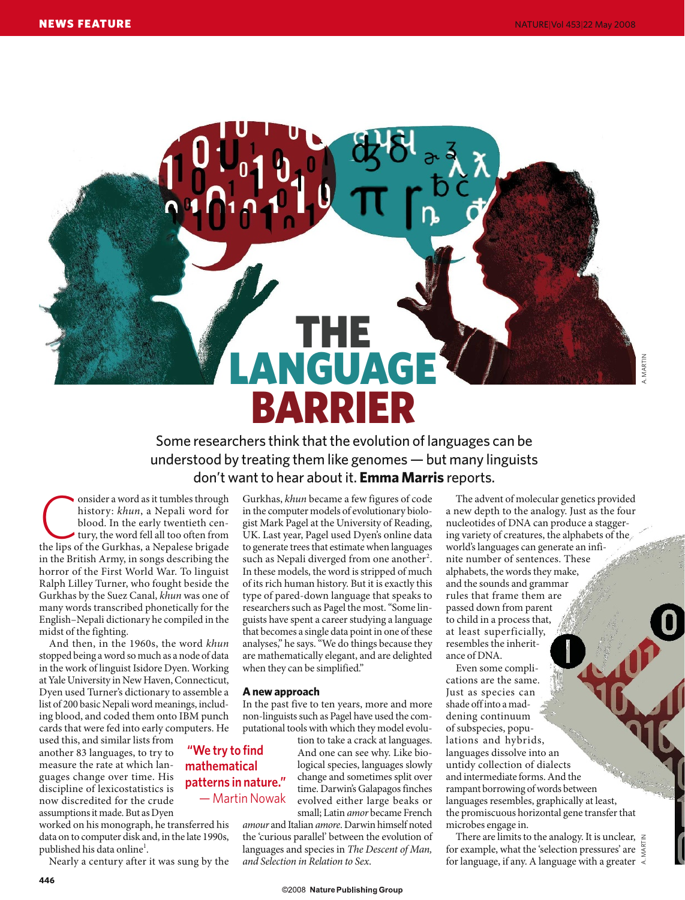# THE LANGUAGE BARRIER

A. MARTIN

Some researchers think that the evolution of languages can be understood by treating them like genomes — but many linguists don't want to hear about it. **Emma Marris** reports.

onsider a word as it tumbles through history: *khun*, a Nepali word for blood. In the early twentieth century, the word fell all too often from the lips of the Gurkhas, a Nepalese brigade history: *khun*, a Nepali word for blood. In the early twentieth century, the word fell all too often from in the British Army, in songs describing the horror of the First World War. To linguist Ralph Lilley Turner, who fought beside the Gurkhas by the Suez Canal, *khun* was one of many words transcribed phonetically for the English–Nepali dictionary he compiled in the midst of the fighting.

And then, in the 1960s, the word *khun* stopped being a word so much as a node of data in the work of linguist Isidore Dyen. Working at Yale University in New Haven, Connecticut, Dyen used Turner's dictionary to assemble a list of 200 basic Nepali word meanings, including blood, and coded them onto IBM punch cards that were fed into early computers. He

used this, and similar lists from another 83 languages, to try to measure the rate at which languages change over time. His discipline of lexicostatistics is now discredited for the crude assumptions it made. But as Dyen

worked on his monograph, he transferred his data on to computer disk and, in the late 1990s, published his data online<sup>1</sup>.

Nearly a century after it was sung by the

Gurkhas, *khun* became a few figures of code in the computer models of evolutionary biologist Mark Pagel at the University of Reading, UK. Last year, Pagel used Dyen's online data to generate trees that estimate when languages such as Nepali diverged from one another<sup>2</sup>. In these models, the word is stripped of much of its rich human history. But it is exactly this type of pared-down language that speaks to researchers such as Pagel the most. "Some linguists have spent a career studying a language that becomes a single data point in one of these analyses," he says. "We do things because they are mathematically elegant, and are delighted when they can be simplified."

## **A new approach**

In the past five to ten years, more and more non-linguists such as Pagel have used the computational tools with which they model evolu-

 **"We try to find mathematical patterns in nature."** — Martin Nowak tion to take a crack at languages. And one can see why. Like biological species, languages slowly change and sometimes split over time. Darwin's Galapagos finches evolved either large beaks or small; Latin *amor* became French

*amour* and Italian *amore*. Darwin himself noted the 'curious parallel' between the evolution of languages and species in *The Descent of Man, and Selection in Relation to Sex*.

The advent of molecular genetics provided a new depth to the analogy. Just as the four nucleotides of DNA can produce a staggering variety of creatures, the alphabets of the world's languages can generate an infinite number of sentences. These alphabets, the words they make, and the sounds and grammar rules that frame them are passed down from parent to child in a process that, at least superficially, resembles the inheritance of DNA.

Even some complications are the same. Just as species can shade off into a maddening continuum of subspecies, populations and hybrids, languages dissolve into an untidy collection of dialects and intermediate forms. And the rampant borrowing of words between languages resembles, graphically at least, the promiscuous horizontal gene transfer that microbes engage in.

There are limits to the analogy. It is unclear,  $\geq$ for example, what the 'selection pressures' are  $\frac{8}{3}$ for language, if any. A language with a greater  $\leq$ A. MARTIN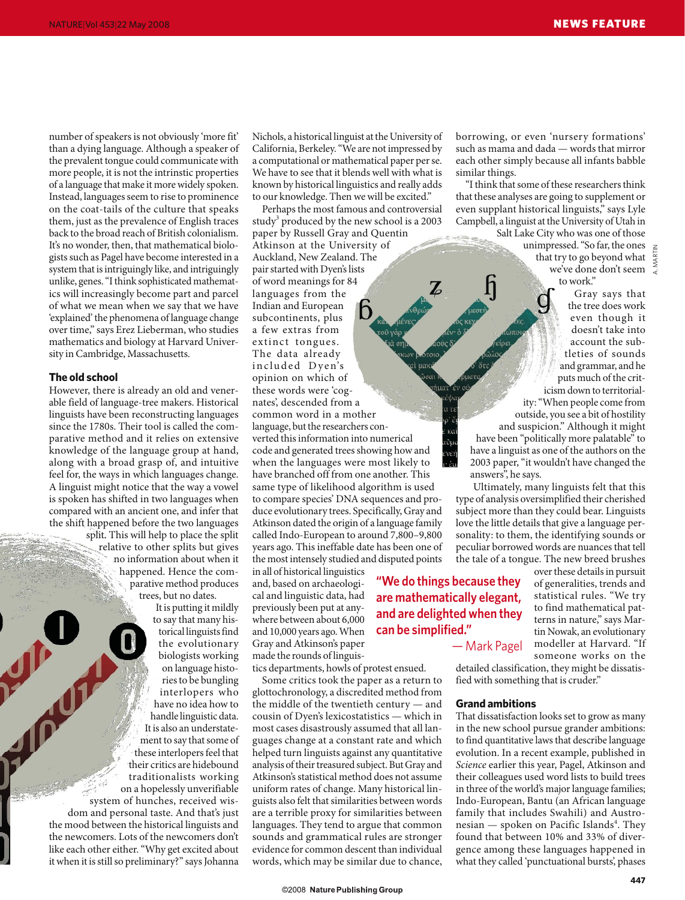number of speakers is not obviously 'more fit' than a dying language. Although a speaker of the prevalent tongue could communicate with more people, it is not the intrinstic properties of a language that make it more widely spoken. Instead, languages seem to rise to prominence on the coat-tails of the culture that speaks them, just as the prevalence of English traces back to the broad reach of British colonialism. It's no wonder, then, that mathematical biologists such as Pagel have become interested in a system that is intriguingly like, and intriguingly unlike, genes. "I think sophisticated mathematics will increasingly become part and parcel of what we mean when we say that we have 'explained' the phenomena of language change over time," says Erez Lieberman, who studies mathematics and biology at Harvard University in Cambridge, Massachusetts.

## **The old school**

However, there is already an old and venerable field of language-tree makers. Historical linguists have been reconstructing languages since the 1780s. Their tool is called the comparative method and it relies on extensive knowledge of the language group at hand, along with a broad grasp of, and intuitive feel for, the ways in which languages change. A linguist might notice that the way a vowel is spoken has shifted in two languages when compared with an ancient one, and infer that the shift happened before the two languages

split. This will help to place the split relative to other splits but gives no information about when it happened. Hence the comparative method produces trees, but no dates.

It is putting it mildly to say that many historical linguists find the evolutionary biologists working on language histories to be bungling interlopers who have no idea how to handle linguistic data. It is also an understatement to say that some of these interlopers feel that their critics are hidebound traditionalists working on a hopelessly unverifiable system of hunches, received wisdom and personal taste. And that's just the mood between the historical linguists and the newcomers. Lots of the newcomers don't like each other either. "Why get excited about it when it is still so preliminary?" says Johanna

Nichols, a historical linguist at the University of California, Berkeley. "We are not impressed by a computational or mathematical paper per se. We have to see that it blends well with what is known by historical linguistics and really adds to our knowledge. Then we will be excited."

Perhaps the most famous and controversial study<sup>3</sup> produced by the new school is a 2003 paper by Russell Gray and Quentin Atkinson at the University of Auckland, New Zealand. The pair started with Dyen's lists of word meanings for 84 languages from the Indian and European subcontinents, plus a few extras from extinct tongues. The data already included Dyen's opinion on which of these words were 'cognates', descended from a common word in a mother language, but the researchers converted this information into numerical code and generated trees showing how and when the languages were most likely to have branched off from one another. This same type of likelihood algorithm is used to compare species' DNA sequences and produce evolutionary trees. Specifically, Gray and Atkinson dated the origin of a language family called Indo-European to around 7,800–9,800 years ago. This ineffable date has been one of the most intensely studied and disputed points

in all of historical linguistics and, based on archaeological and linguistic data, had previously been put at anywhere between about 6,000 and 10,000 years ago. When Gray and Atkinson's paper made the rounds of linguis-

tics departments, howls of protest ensued.

Some critics took the paper as a return to glottochronology, a discredited method from the middle of the twentieth century — and cousin of Dyen's lexicostatistics — which in most cases disastrously assumed that all languages change at a constant rate and which helped turn linguists against any quantitative analysis of their treasured subject. But Gray and Atkinson's statistical method does not assume uniform rates of change. Many historical linguists also felt that similarities between words are a terrible proxy for similarities between languages. They tend to argue that common sounds and grammatical rules are stronger evidence for common descent than individual words, which may be similar due to chance,

borrowing, or even 'nursery formations' such as mama and dada — words that mirror each other simply because all infants babble similar things.

"I think that some of these researchers think that these analyses are going to supplement or even supplant historical linguists," says Lyle Campbell, a linguist at the University of Utah in

> Salt Lake City who was one of those<br>unimpressed. "So far, the ones unimpressed. "So far, the ones that try to go beyond what we've done don't seem to work."

A. MARTIN

Gray says that the tree does work even though it doesn't take into account the subtleties of sounds and grammar, and he puts much of the criticism down to territoriality: "When people come from outside, you see a bit of hostility and suspicion." Although it might have been "politically more palatable" to have a linguist as one of the authors on the 2003 paper, "it wouldn't have changed the answers", he says.

Ultimately, many linguists felt that this type of analysis oversimplified their cherished subject more than they could bear. Linguists love the little details that give a language personality: to them, the identifying sounds or peculiar borrowed words are nuances that tell the tale of a tongue. The new breed brushes

over these details in pursuit of generalities, trends and statistical rules. "We try to find mathematical patterns in nature," says Martin Nowak, an evolutionary modeller at Harvard. "If someone works on the

— Mark Pagel

detailed classification, they might be dissatisfied with something that is cruder."

## **Grand ambitions**

**"We do things because they are mathematically elegant, and are delighted when they** 

**can be simplified."**

That dissatisfaction looks set to grow as many in the new school pursue grander ambitions: to find quantitative laws that describe language evolution. In a recent example, published in *Science* earlier this year, Pagel, Atkinson and their colleagues used word lists to build trees in three of the world's major language families; Indo-European, Bantu (an African language family that includes Swahili) and Austronesian — spoken on Pacific Islands<sup>4</sup>. They found that between 10% and 33% of divergence among these languages happened in what they called 'punctuational bursts', phases

©2008 Nature Publishing Group